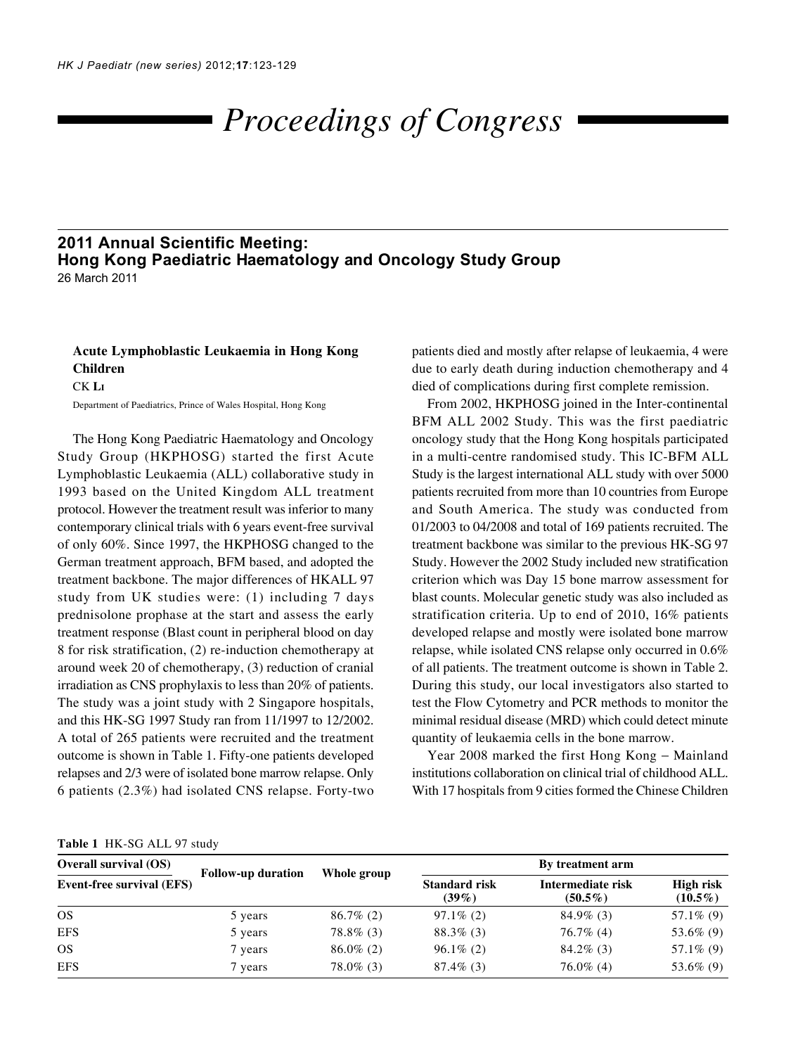# *Proceedings of Congress*

## **2011 Annual Scientific Meeting: Hong Kong Paediatric Haematology and Oncology Study Group** 26 March 2011

# **Acute Lymphoblastic Leukaemia in Hong Kong Children** CK **LI**

Department of Paediatrics, Prince of Wales Hospital, Hong Kong

The Hong Kong Paediatric Haematology and Oncology Study Group (HKPHOSG) started the first Acute Lymphoblastic Leukaemia (ALL) collaborative study in 1993 based on the United Kingdom ALL treatment protocol. However the treatment result was inferior to many contemporary clinical trials with 6 years event-free survival of only 60%. Since 1997, the HKPHOSG changed to the German treatment approach, BFM based, and adopted the treatment backbone. The major differences of HKALL 97 study from UK studies were: (1) including 7 days prednisolone prophase at the start and assess the early treatment response (Blast count in peripheral blood on day 8 for risk stratification, (2) re-induction chemotherapy at around week 20 of chemotherapy, (3) reduction of cranial irradiation as CNS prophylaxis to less than 20% of patients. The study was a joint study with 2 Singapore hospitals, and this HK-SG 1997 Study ran from 11/1997 to 12/2002. A total of 265 patients were recruited and the treatment outcome is shown in Table 1. Fifty-one patients developed relapses and 2/3 were of isolated bone marrow relapse. Only 6 patients (2.3%) had isolated CNS relapse. Forty-two

patients died and mostly after relapse of leukaemia, 4 were due to early death during induction chemotherapy and 4 died of complications during first complete remission.

From 2002, HKPHOSG joined in the Inter-continental BFM ALL 2002 Study. This was the first paediatric oncology study that the Hong Kong hospitals participated in a multi-centre randomised study. This IC-BFM ALL Study is the largest international ALL study with over 5000 patients recruited from more than 10 countries from Europe and South America. The study was conducted from 01/2003 to 04/2008 and total of 169 patients recruited. The treatment backbone was similar to the previous HK-SG 97 Study. However the 2002 Study included new stratification criterion which was Day 15 bone marrow assessment for blast counts. Molecular genetic study was also included as stratification criteria. Up to end of 2010, 16% patients developed relapse and mostly were isolated bone marrow relapse, while isolated CNS relapse only occurred in 0.6% of all patients. The treatment outcome is shown in Table 2. During this study, our local investigators also started to test the Flow Cytometry and PCR methods to monitor the minimal residual disease (MRD) which could detect minute quantity of leukaemia cells in the bone marrow.

Year 2008 marked the first Hong Kong − Mainland institutions collaboration on clinical trial of childhood ALL. With 17 hospitals from 9 cities formed the Chinese Children

#### **Table 1** HK-SG ALL 97 study

| <b>Overall survival (OS)</b><br><b>Event-free survival (EFS)</b> | <b>Follow-up duration</b> | Whole group  | By treatment arm                 |                                 |                                |
|------------------------------------------------------------------|---------------------------|--------------|----------------------------------|---------------------------------|--------------------------------|
|                                                                  |                           |              | <b>Standard risk</b><br>$(39\%)$ | Intermediate risk<br>$(50.5\%)$ | <b>High risk</b><br>$(10.5\%)$ |
| <b>OS</b>                                                        | 5 years                   | $86.7\%$ (2) | $97.1\%$ (2)                     | $84.9\%$ (3)                    | $57.1\%$ (9)                   |
| <b>EFS</b>                                                       | 5 years                   | $78.8\%$ (3) | $88.3\%$ (3)                     | $76.7\%$ (4)                    | 53.6% (9)                      |
| <b>OS</b>                                                        | 7 years                   | $86.0\%$ (2) | $96.1\%$ (2)                     | $84.2\%$ (3)                    | $57.1\%$ (9)                   |
| <b>EFS</b>                                                       | 7 years                   | $78.0\%$ (3) | $87.4\%$ (3)                     | $76.0\%$ (4)                    | 53.6% (9)                      |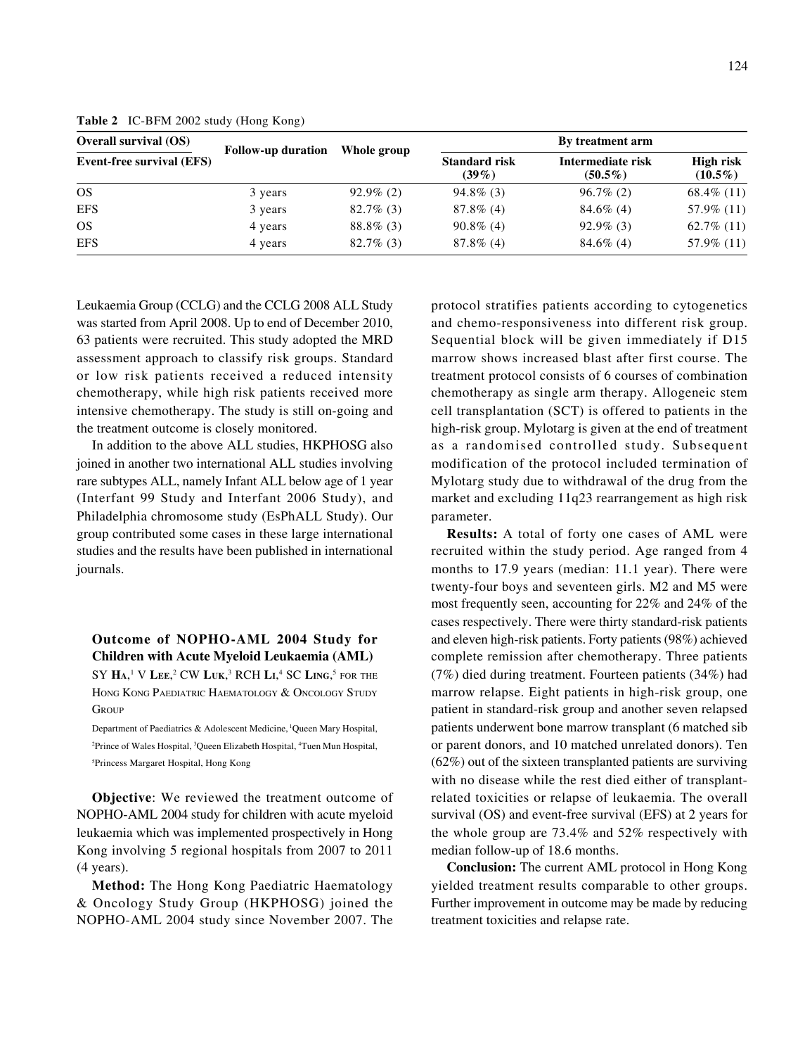| <b>Overall survival (OS)</b><br><b>Event-free survival (EFS)</b> | <b>Follow-up duration</b> | Whole group  | By treatment arm                 |                                 |                         |
|------------------------------------------------------------------|---------------------------|--------------|----------------------------------|---------------------------------|-------------------------|
|                                                                  |                           |              | <b>Standard risk</b><br>$(39\%)$ | Intermediate risk<br>$(50.5\%)$ | High risk<br>$(10.5\%)$ |
| <b>OS</b>                                                        | 3 years                   | $92.9\%$ (2) | $94.8\%$ (3)                     | $96.7\%(2)$                     | 68.4\% $(11)$           |
| <b>EFS</b>                                                       | 3 years                   | $82.7\%$ (3) | $87.8\%$ (4)                     | $84.6\%$ (4)                    | 57.9% (11)              |
| <b>OS</b>                                                        | 4 years                   | $88.8\%$ (3) | $90.8\%$ (4)                     | $92.9\%$ (3)                    | $62.7\%$ (11)           |
| <b>EFS</b>                                                       | 4 years                   | $82.7\%$ (3) | $87.8\%$ (4)                     | $84.6\%$ (4)                    | 57.9% (11)              |

**Table 2** IC-BFM 2002 study (Hong Kong)

Leukaemia Group (CCLG) and the CCLG 2008 ALL Study was started from April 2008. Up to end of December 2010, 63 patients were recruited. This study adopted the MRD assessment approach to classify risk groups. Standard or low risk patients received a reduced intensity chemotherapy, while high risk patients received more intensive chemotherapy. The study is still on-going and the treatment outcome is closely monitored.

In addition to the above ALL studies, HKPHOSG also joined in another two international ALL studies involving rare subtypes ALL, namely Infant ALL below age of 1 year (Interfant 99 Study and Interfant 2006 Study), and Philadelphia chromosome study (EsPhALL Study). Our group contributed some cases in these large international studies and the results have been published in international journals.

**Outcome of NOPHO-AML 2004 Study for Children with Acute Myeloid Leukaemia (AML)** SY **HA**, 1 V **LEE**, 2 CW **LUK**, 3 RCH **LI**, 4 SC **LING**, <sup>5</sup> FOR THE HONG KONG PAEDIATRIC HAEMATOLOGY & ONCOLOGY STUDY **GROUP** 

Department of Paediatrics & Adolescent Medicine, 1Queen Mary Hospital, <sup>2</sup>Prince of Wales Hospital, <sup>3</sup>Queen Elizabeth Hospital, <sup>4</sup>Tuen Mun Hospital, 5 Princess Margaret Hospital, Hong Kong

**Objective**: We reviewed the treatment outcome of NOPHO-AML 2004 study for children with acute myeloid leukaemia which was implemented prospectively in Hong Kong involving 5 regional hospitals from 2007 to 2011 (4 years).

**Method:** The Hong Kong Paediatric Haematology & Oncology Study Group (HKPHOSG) joined the NOPHO-AML 2004 study since November 2007. The

protocol stratifies patients according to cytogenetics and chemo-responsiveness into different risk group. Sequential block will be given immediately if D15 marrow shows increased blast after first course. The treatment protocol consists of 6 courses of combination chemotherapy as single arm therapy. Allogeneic stem cell transplantation (SCT) is offered to patients in the high-risk group. Mylotarg is given at the end of treatment as a randomised controlled study. Subsequent modification of the protocol included termination of Mylotarg study due to withdrawal of the drug from the market and excluding 11q23 rearrangement as high risk parameter.

**Results:** A total of forty one cases of AML were recruited within the study period. Age ranged from 4 months to 17.9 years (median: 11.1 year). There were twenty-four boys and seventeen girls. M2 and M5 were most frequently seen, accounting for 22% and 24% of the cases respectively. There were thirty standard-risk patients and eleven high-risk patients. Forty patients (98%) achieved complete remission after chemotherapy. Three patients (7%) died during treatment. Fourteen patients (34%) had marrow relapse. Eight patients in high-risk group, one patient in standard-risk group and another seven relapsed patients underwent bone marrow transplant (6 matched sib or parent donors, and 10 matched unrelated donors). Ten (62%) out of the sixteen transplanted patients are surviving with no disease while the rest died either of transplantrelated toxicities or relapse of leukaemia. The overall survival (OS) and event-free survival (EFS) at 2 years for the whole group are 73.4% and 52% respectively with median follow-up of 18.6 months.

**Conclusion:** The current AML protocol in Hong Kong yielded treatment results comparable to other groups. Further improvement in outcome may be made by reducing treatment toxicities and relapse rate.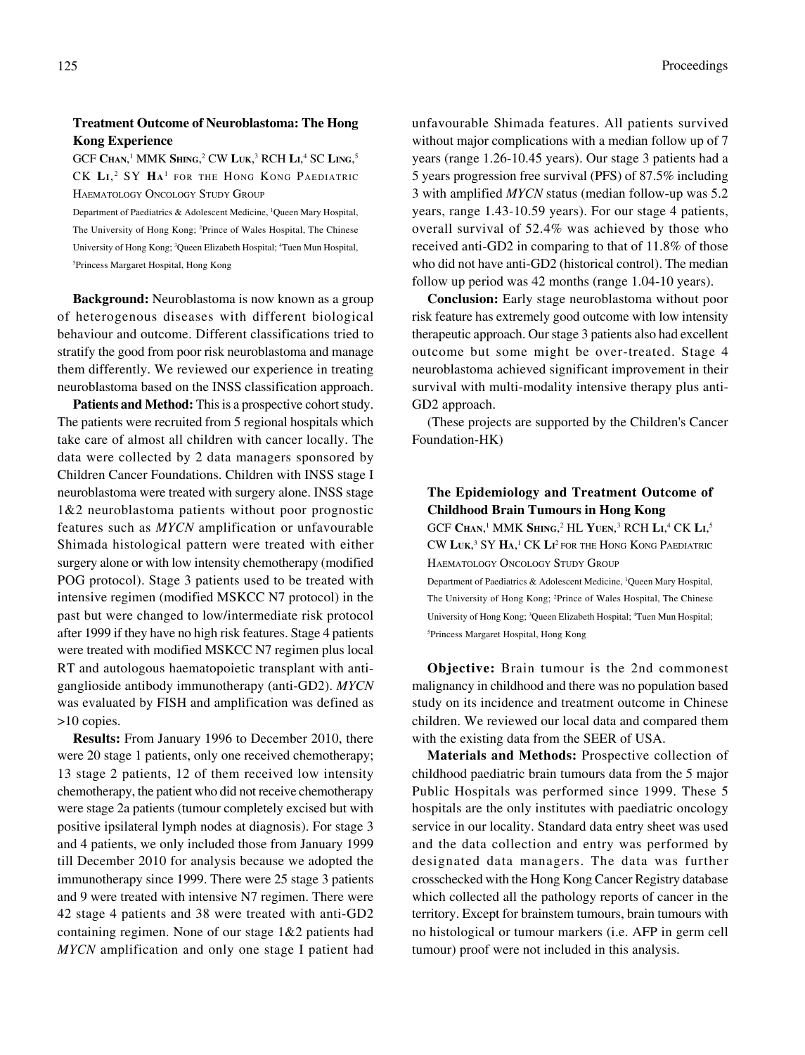### **Treatment Outcome of Neuroblastoma: The Hong Kong Experience**

GCF Chan,<sup>1</sup> MMK Shing,<sup>2</sup> CW Luk,<sup>3</sup> RCH Li,<sup>4</sup> SC Ling,<sup>5</sup> CK **LI**, 2 SY **HA**<sup>1</sup> FOR THE HONG KONG PAEDIATRIC HAEMATOLOGY ONCOLOGY STUDY GROUP

Department of Paediatrics & Adolescent Medicine, 1 Queen Mary Hospital, The University of Hong Kong; 2 Prince of Wales Hospital, The Chinese University of Hong Kong; <sup>3</sup>Queen Elizabeth Hospital; <sup>4</sup>Tuen Mun Hospital, 5 Princess Margaret Hospital, Hong Kong

**Background:** Neuroblastoma is now known as a group of heterogenous diseases with different biological behaviour and outcome. Different classifications tried to stratify the good from poor risk neuroblastoma and manage them differently. We reviewed our experience in treating neuroblastoma based on the INSS classification approach.

Patients and Method: This is a prospective cohort study. The patients were recruited from 5 regional hospitals which take care of almost all children with cancer locally. The data were collected by 2 data managers sponsored by Children Cancer Foundations. Children with INSS stage I neuroblastoma were treated with surgery alone. INSS stage 1&2 neuroblastoma patients without poor prognostic features such as *MYCN* amplification or unfavourable Shimada histological pattern were treated with either surgery alone or with low intensity chemotherapy (modified POG protocol). Stage 3 patients used to be treated with intensive regimen (modified MSKCC N7 protocol) in the past but were changed to low/intermediate risk protocol after 1999 if they have no high risk features. Stage 4 patients were treated with modified MSKCC N7 regimen plus local RT and autologous haematopoietic transplant with antiganglioside antibody immunotherapy (anti-GD2). *MYCN* was evaluated by FISH and amplification was defined as >10 copies.

**Results:** From January 1996 to December 2010, there were 20 stage 1 patients, only one received chemotherapy; 13 stage 2 patients, 12 of them received low intensity chemotherapy, the patient who did not receive chemotherapy were stage 2a patients (tumour completely excised but with positive ipsilateral lymph nodes at diagnosis). For stage 3 and 4 patients, we only included those from January 1999 till December 2010 for analysis because we adopted the immunotherapy since 1999. There were 25 stage 3 patients and 9 were treated with intensive N7 regimen. There were 42 stage 4 patients and 38 were treated with anti-GD2 containing regimen. None of our stage 1&2 patients had *MYCN* amplification and only one stage I patient had unfavourable Shimada features. All patients survived without major complications with a median follow up of 7 years (range 1.26-10.45 years). Our stage 3 patients had a 5 years progression free survival (PFS) of 87.5% including 3 with amplified *MYCN* status (median follow-up was 5.2 years, range 1.43-10.59 years). For our stage 4 patients, overall survival of 52.4% was achieved by those who received anti-GD2 in comparing to that of 11.8% of those who did not have anti-GD2 (historical control). The median follow up period was 42 months (range 1.04-10 years).

**Conclusion:** Early stage neuroblastoma without poor risk feature has extremely good outcome with low intensity therapeutic approach. Our stage 3 patients also had excellent outcome but some might be over-treated. Stage 4 neuroblastoma achieved significant improvement in their survival with multi-modality intensive therapy plus anti-GD2 approach.

(These projects are supported by the Children's Cancer Foundation-HK)

# **The Epidemiology and Treatment Outcome of Childhood Brain Tumours in Hong Kong**

GCF Chan,<sup>1</sup> MMK Shing,<sup>2</sup> HL Yuen,<sup>3</sup> RCH Li,<sup>4</sup> CK Li,<sup>5</sup> CW **LUK**, 3 SY **HA**, 1 CK **LI** 2 FOR THE HONG KONG PAEDIATRIC HAEMATOLOGY ONCOLOGY STUDY GROUP

Department of Paediatrics & Adolescent Medicine, 1 Queen Mary Hospital, The University of Hong Kong; 2 Prince of Wales Hospital, The Chinese University of Hong Kong; <sup>3</sup>Queen Elizabeth Hospital; <sup>4</sup>Tuen Mun Hospital; 5 Princess Margaret Hospital, Hong Kong

**Objective:** Brain tumour is the 2nd commonest malignancy in childhood and there was no population based study on its incidence and treatment outcome in Chinese children. We reviewed our local data and compared them with the existing data from the SEER of USA.

**Materials and Methods:** Prospective collection of childhood paediatric brain tumours data from the 5 major Public Hospitals was performed since 1999. These 5 hospitals are the only institutes with paediatric oncology service in our locality. Standard data entry sheet was used and the data collection and entry was performed by designated data managers. The data was further crosschecked with the Hong Kong Cancer Registry database which collected all the pathology reports of cancer in the territory. Except for brainstem tumours, brain tumours with no histological or tumour markers (i.e. AFP in germ cell tumour) proof were not included in this analysis.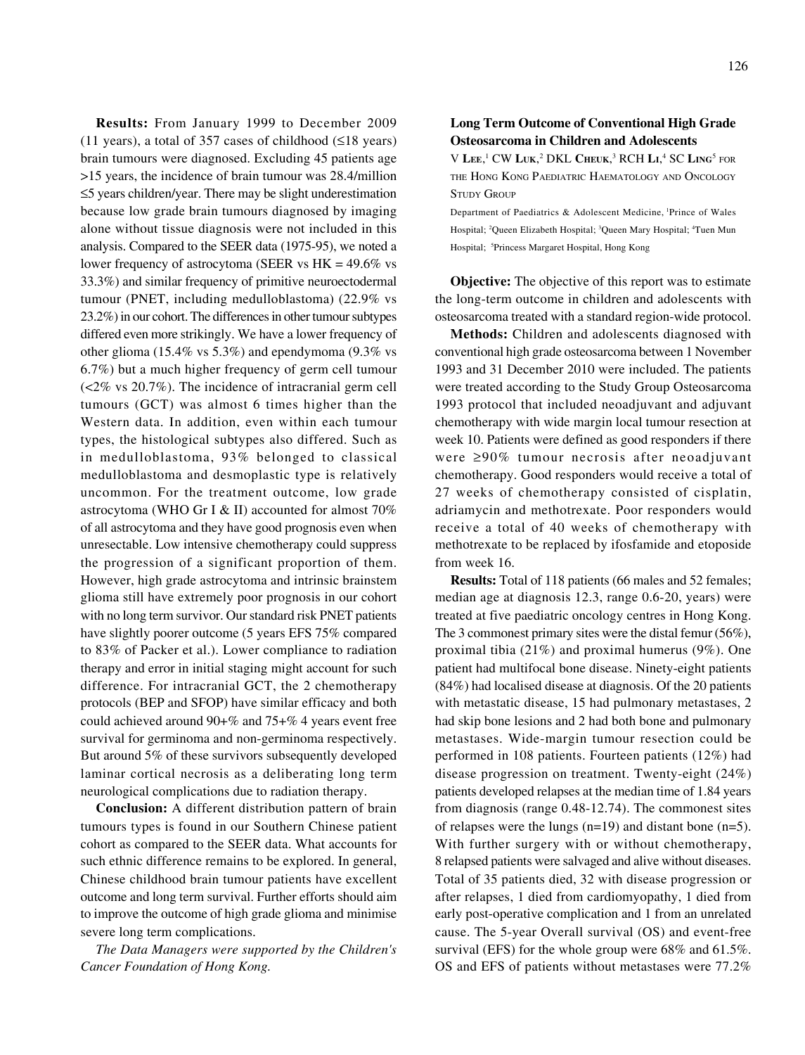**Results:** From January 1999 to December 2009 (11 years), a total of 357 cases of childhood ( $\leq$ 18 years) brain tumours were diagnosed. Excluding 45 patients age >15 years, the incidence of brain tumour was 28.4/million ≤5 years children/year. There may be slight underestimation because low grade brain tumours diagnosed by imaging alone without tissue diagnosis were not included in this analysis. Compared to the SEER data (1975-95), we noted a lower frequency of astrocytoma (SEER vs HK = 49.6% vs 33.3%) and similar frequency of primitive neuroectodermal tumour (PNET, including medulloblastoma) (22.9% vs 23.2%) in our cohort. The differences in other tumour subtypes differed even more strikingly. We have a lower frequency of other glioma (15.4% vs 5.3%) and ependymoma (9.3% vs 6.7%) but a much higher frequency of germ cell tumour (<2% vs 20.7%). The incidence of intracranial germ cell tumours (GCT) was almost 6 times higher than the Western data. In addition, even within each tumour types, the histological subtypes also differed. Such as in medulloblastoma, 93% belonged to classical medulloblastoma and desmoplastic type is relatively uncommon. For the treatment outcome, low grade astrocytoma (WHO Gr I & II) accounted for almost 70% of all astrocytoma and they have good prognosis even when unresectable. Low intensive chemotherapy could suppress the progression of a significant proportion of them. However, high grade astrocytoma and intrinsic brainstem glioma still have extremely poor prognosis in our cohort with no long term survivor. Our standard risk PNET patients have slightly poorer outcome (5 years EFS 75% compared to 83% of Packer et al.). Lower compliance to radiation therapy and error in initial staging might account for such difference. For intracranial GCT, the 2 chemotherapy protocols (BEP and SFOP) have similar efficacy and both could achieved around 90+% and 75+% 4 years event free survival for germinoma and non-germinoma respectively. But around 5% of these survivors subsequently developed laminar cortical necrosis as a deliberating long term neurological complications due to radiation therapy.

**Conclusion:** A different distribution pattern of brain tumours types is found in our Southern Chinese patient cohort as compared to the SEER data. What accounts for such ethnic difference remains to be explored. In general, Chinese childhood brain tumour patients have excellent outcome and long term survival. Further efforts should aim to improve the outcome of high grade glioma and minimise severe long term complications.

*The Data Managers were supported by the Children's Cancer Foundation of Hong Kong.*

#### **Long Term Outcome of Conventional High Grade Osteosarcoma in Children and Adolescents**

V **LEE**, 1 CW **LUK**, 2 DKL **CHEUK**, 3 RCH **LI**, 4 SC **LING**<sup>5</sup> FOR THE HONG KONG PAEDIATRIC HAEMATOLOGY AND ONCOLOGY STUDY GROUP

Department of Paediatrics & Adolescent Medicine, 1Prince of Wales Hospital; <sup>2</sup>Queen Elizabeth Hospital; <sup>3</sup>Queen Mary Hospital; <sup>4</sup>Tuen Mun Hospital; <sup>5</sup>Princess Margaret Hospital, Hong Kong

**Objective:** The objective of this report was to estimate the long-term outcome in children and adolescents with osteosarcoma treated with a standard region-wide protocol.

**Methods:** Children and adolescents diagnosed with conventional high grade osteosarcoma between 1 November 1993 and 31 December 2010 were included. The patients were treated according to the Study Group Osteosarcoma 1993 protocol that included neoadjuvant and adjuvant chemotherapy with wide margin local tumour resection at week 10. Patients were defined as good responders if there were ≥90% tumour necrosis after neoadjuvant chemotherapy. Good responders would receive a total of 27 weeks of chemotherapy consisted of cisplatin, adriamycin and methotrexate. Poor responders would receive a total of 40 weeks of chemotherapy with methotrexate to be replaced by ifosfamide and etoposide from week 16.

**Results:** Total of 118 patients (66 males and 52 females; median age at diagnosis 12.3, range 0.6-20, years) were treated at five paediatric oncology centres in Hong Kong. The 3 commonest primary sites were the distal femur (56%), proximal tibia (21%) and proximal humerus (9%). One patient had multifocal bone disease. Ninety-eight patients (84%) had localised disease at diagnosis. Of the 20 patients with metastatic disease, 15 had pulmonary metastases, 2 had skip bone lesions and 2 had both bone and pulmonary metastases. Wide-margin tumour resection could be performed in 108 patients. Fourteen patients (12%) had disease progression on treatment. Twenty-eight (24%) patients developed relapses at the median time of 1.84 years from diagnosis (range 0.48-12.74). The commonest sites of relapses were the lungs (n=19) and distant bone (n=5). With further surgery with or without chemotherapy, 8 relapsed patients were salvaged and alive without diseases. Total of 35 patients died, 32 with disease progression or after relapses, 1 died from cardiomyopathy, 1 died from early post-operative complication and 1 from an unrelated cause. The 5-year Overall survival (OS) and event-free survival (EFS) for the whole group were 68% and 61.5%. OS and EFS of patients without metastases were 77.2%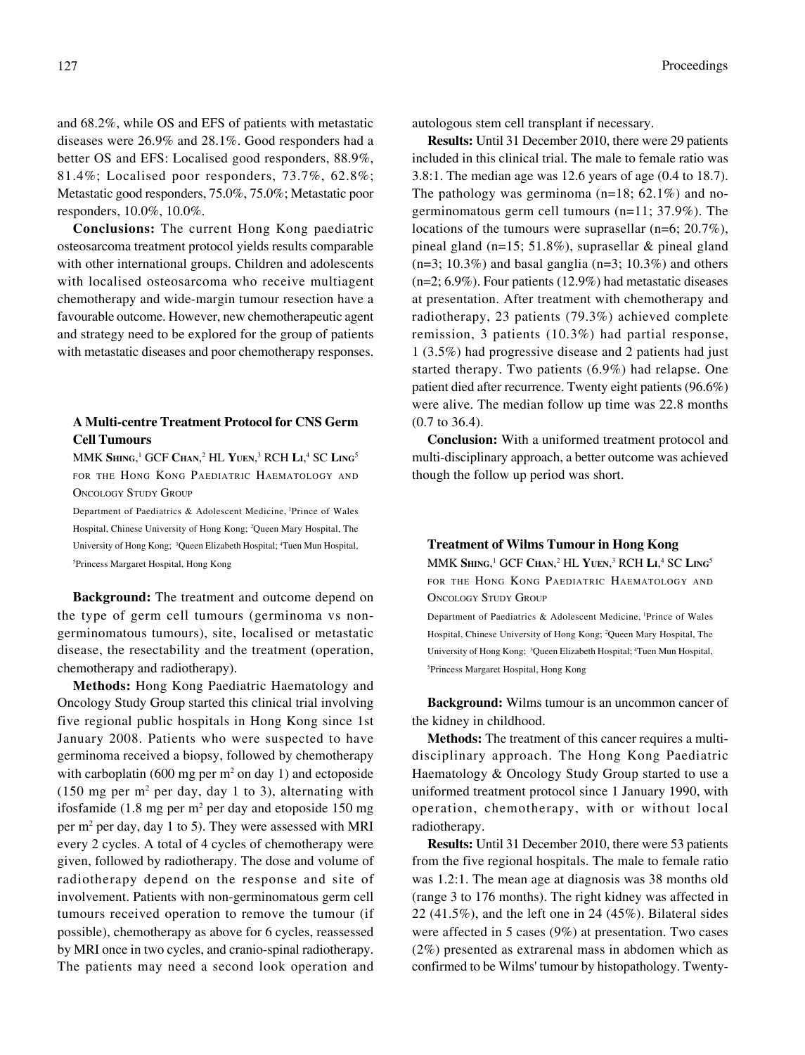and 68.2%, while OS and EFS of patients with metastatic diseases were 26.9% and 28.1%. Good responders had a better OS and EFS: Localised good responders, 88.9%, 81.4%; Localised poor responders, 73.7%, 62.8%; Metastatic good responders, 75.0%, 75.0%; Metastatic poor responders, 10.0%, 10.0%.

**Conclusions:** The current Hong Kong paediatric osteosarcoma treatment protocol yields results comparable with other international groups. Children and adolescents with localised osteosarcoma who receive multiagent chemotherapy and wide-margin tumour resection have a favourable outcome. However, new chemotherapeutic agent and strategy need to be explored for the group of patients with metastatic diseases and poor chemotherapy responses.

#### **A Multi-centre Treatment Protocol for CNS Germ Cell Tumours**

 $MMK$   $\textbf{Simg},^1\text{ GCF Chan},^2\text{ HL Yuen},^3\text{ RCH LI},^4\text{ SC LING}^5$ FOR THE HONG KONG PAEDIATRIC HAEMATOLOGY AND ONCOLOGY STUDY GROUP

Department of Paediatrics & Adolescent Medicine, 1Prince of Wales Hospital, Chinese University of Hong Kong; 2 Queen Mary Hospital, The University of Hong Kong; <sup>3</sup>Queen Elizabeth Hospital; <sup>4</sup>Tuen Mun Hospital, 5 Princess Margaret Hospital, Hong Kong

**Background:** The treatment and outcome depend on the type of germ cell tumours (germinoma vs nongerminomatous tumours), site, localised or metastatic disease, the resectability and the treatment (operation, chemotherapy and radiotherapy).

**Methods:** Hong Kong Paediatric Haematology and Oncology Study Group started this clinical trial involving five regional public hospitals in Hong Kong since 1st January 2008. Patients who were suspected to have germinoma received a biopsy, followed by chemotherapy with carboplatin (600 mg per  $m<sup>2</sup>$  on day 1) and ectoposide  $(150 \text{ mg per m}^2 \text{ per day}, \text{day 1 to 3}),$  alternating with ifosfamide  $(1.8 \text{ mg per m}^2 \text{ per day and etoposide } 150 \text{ mg})$ per m<sup>2</sup> per day, day 1 to 5). They were assessed with MRI every 2 cycles. A total of 4 cycles of chemotherapy were given, followed by radiotherapy. The dose and volume of radiotherapy depend on the response and site of involvement. Patients with non-germinomatous germ cell tumours received operation to remove the tumour (if possible), chemotherapy as above for 6 cycles, reassessed by MRI once in two cycles, and cranio-spinal radiotherapy. The patients may need a second look operation and

autologous stem cell transplant if necessary.

**Results:** Until 31 December 2010, there were 29 patients included in this clinical trial. The male to female ratio was 3.8:1. The median age was 12.6 years of age (0.4 to 18.7). The pathology was germinoma (n=18; 62.1%) and nogerminomatous germ cell tumours (n=11; 37.9%). The locations of the tumours were suprasellar (n=6; 20.7%), pineal gland (n=15; 51.8%), suprasellar & pineal gland  $(n=3; 10.3\%)$  and basal ganglia  $(n=3; 10.3\%)$  and others (n=2; 6.9%). Four patients (12.9%) had metastatic diseases at presentation. After treatment with chemotherapy and radiotherapy, 23 patients (79.3%) achieved complete remission, 3 patients (10.3%) had partial response, 1 (3.5%) had progressive disease and 2 patients had just started therapy. Two patients (6.9%) had relapse. One patient died after recurrence. Twenty eight patients (96.6%) were alive. The median follow up time was 22.8 months (0.7 to 36.4).

**Conclusion:** With a uniformed treatment protocol and multi-disciplinary approach, a better outcome was achieved though the follow up period was short.

#### **Treatment of Wilms Tumour in Hong Kong**

 $MMK$   $\textbf{Sims},^1\text{ GCF Chan},^2\text{ HL Vuen},^3\text{ RCH LI},^4\text{ SC LING}^5$ FOR THE HONG KONG PAEDIATRIC HAEMATOLOGY AND ONCOLOGY STUDY GROUP

Department of Paediatrics & Adolescent Medicine, 1Prince of Wales Hospital, Chinese University of Hong Kong; 2 Queen Mary Hospital, The University of Hong Kong; <sup>3</sup>Queen Elizabeth Hospital; <sup>4</sup>Tuen Mun Hospital, 5 Princess Margaret Hospital, Hong Kong

**Background:** Wilms tumour is an uncommon cancer of the kidney in childhood.

**Methods:** The treatment of this cancer requires a multidisciplinary approach. The Hong Kong Paediatric Haematology & Oncology Study Group started to use a uniformed treatment protocol since 1 January 1990, with operation, chemotherapy, with or without local radiotherapy.

**Results:** Until 31 December 2010, there were 53 patients from the five regional hospitals. The male to female ratio was 1.2:1. The mean age at diagnosis was 38 months old (range 3 to 176 months). The right kidney was affected in 22 (41.5%), and the left one in 24 (45%). Bilateral sides were affected in 5 cases (9%) at presentation. Two cases (2%) presented as extrarenal mass in abdomen which as confirmed to be Wilms' tumour by histopathology. Twenty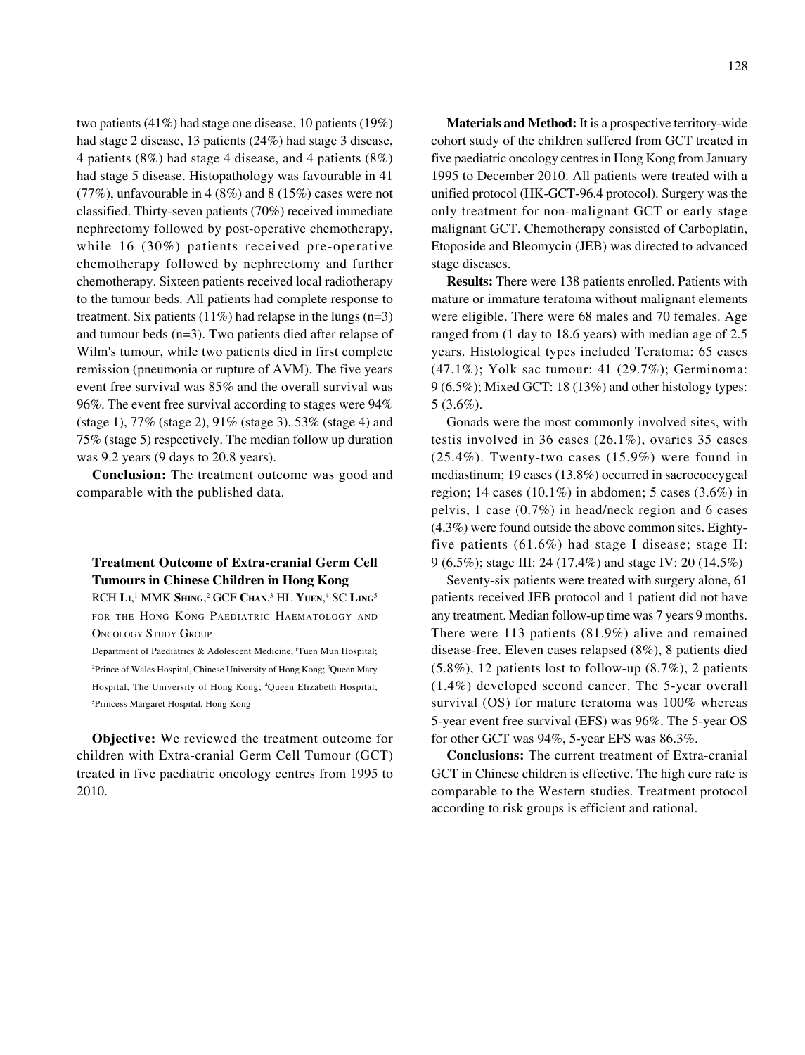two patients (41%) had stage one disease, 10 patients (19%) had stage 2 disease, 13 patients (24%) had stage 3 disease, 4 patients (8%) had stage 4 disease, and 4 patients (8%) had stage 5 disease. Histopathology was favourable in 41 (77%), unfavourable in 4 (8%) and 8 (15%) cases were not classified. Thirty-seven patients (70%) received immediate nephrectomy followed by post-operative chemotherapy, while 16 (30%) patients received pre-operative chemotherapy followed by nephrectomy and further chemotherapy. Sixteen patients received local radiotherapy to the tumour beds. All patients had complete response to treatment. Six patients  $(11\%)$  had relapse in the lungs  $(n=3)$ and tumour beds (n=3). Two patients died after relapse of Wilm's tumour, while two patients died in first complete remission (pneumonia or rupture of AVM). The five years event free survival was 85% and the overall survival was 96%. The event free survival according to stages were 94% (stage 1), 77% (stage 2), 91% (stage 3), 53% (stage 4) and 75% (stage 5) respectively. The median follow up duration was 9.2 years (9 days to 20.8 years).

**Conclusion:** The treatment outcome was good and comparable with the published data.

### **Treatment Outcome of Extra-cranial Germ Cell Tumours in Chinese Children in Hong Kong**

RCH **LI**, 1 MMK **SHING**, 2 GCF **CHAN**, 3 HL **YUEN**, 4 SC **LING**<sup>5</sup> FOR THE HONG KONG PAEDIATRIC HAEMATOLOGY AND ONCOLOGY STUDY GROUP

Department of Paediatrics & Adolescent Medicine, <sup>1</sup>Tuen Mun Hospital; <sup>2</sup>Prince of Wales Hospital, Chinese University of Hong Kong; <sup>3</sup>Queen Mary Hospital, The University of Hong Kong; 4 Queen Elizabeth Hospital; 5 Princess Margaret Hospital, Hong Kong

**Objective:** We reviewed the treatment outcome for children with Extra-cranial Germ Cell Tumour (GCT) treated in five paediatric oncology centres from 1995 to 2010.

**Materials and Method:** It is a prospective territory-wide cohort study of the children suffered from GCT treated in five paediatric oncology centres in Hong Kong from January 1995 to December 2010. All patients were treated with a unified protocol (HK-GCT-96.4 protocol). Surgery was the only treatment for non-malignant GCT or early stage malignant GCT. Chemotherapy consisted of Carboplatin, Etoposide and Bleomycin (JEB) was directed to advanced stage diseases.

**Results:** There were 138 patients enrolled. Patients with mature or immature teratoma without malignant elements were eligible. There were 68 males and 70 females. Age ranged from (1 day to 18.6 years) with median age of 2.5 years. Histological types included Teratoma: 65 cases (47.1%); Yolk sac tumour: 41 (29.7%); Germinoma: 9 (6.5%); Mixed GCT: 18 (13%) and other histology types: 5 (3.6%).

Gonads were the most commonly involved sites, with testis involved in 36 cases (26.1%), ovaries 35 cases (25.4%). Twenty-two cases (15.9%) were found in mediastinum; 19 cases (13.8%) occurred in sacrococcygeal region; 14 cases  $(10.1\%)$  in abdomen; 5 cases  $(3.6\%)$  in pelvis, 1 case (0.7%) in head/neck region and 6 cases (4.3%) were found outside the above common sites. Eightyfive patients (61.6%) had stage I disease; stage II: 9 (6.5%); stage III: 24 (17.4%) and stage IV: 20 (14.5%)

Seventy-six patients were treated with surgery alone, 61 patients received JEB protocol and 1 patient did not have any treatment. Median follow-up time was 7 years 9 months. There were 113 patients (81.9%) alive and remained disease-free. Eleven cases relapsed (8%), 8 patients died  $(5.8\%)$ , 12 patients lost to follow-up  $(8.7\%)$ , 2 patients (1.4%) developed second cancer. The 5-year overall survival (OS) for mature teratoma was 100% whereas 5-year event free survival (EFS) was 96%. The 5-year OS for other GCT was 94%, 5-year EFS was 86.3%.

**Conclusions:** The current treatment of Extra-cranial GCT in Chinese children is effective. The high cure rate is comparable to the Western studies. Treatment protocol according to risk groups is efficient and rational.